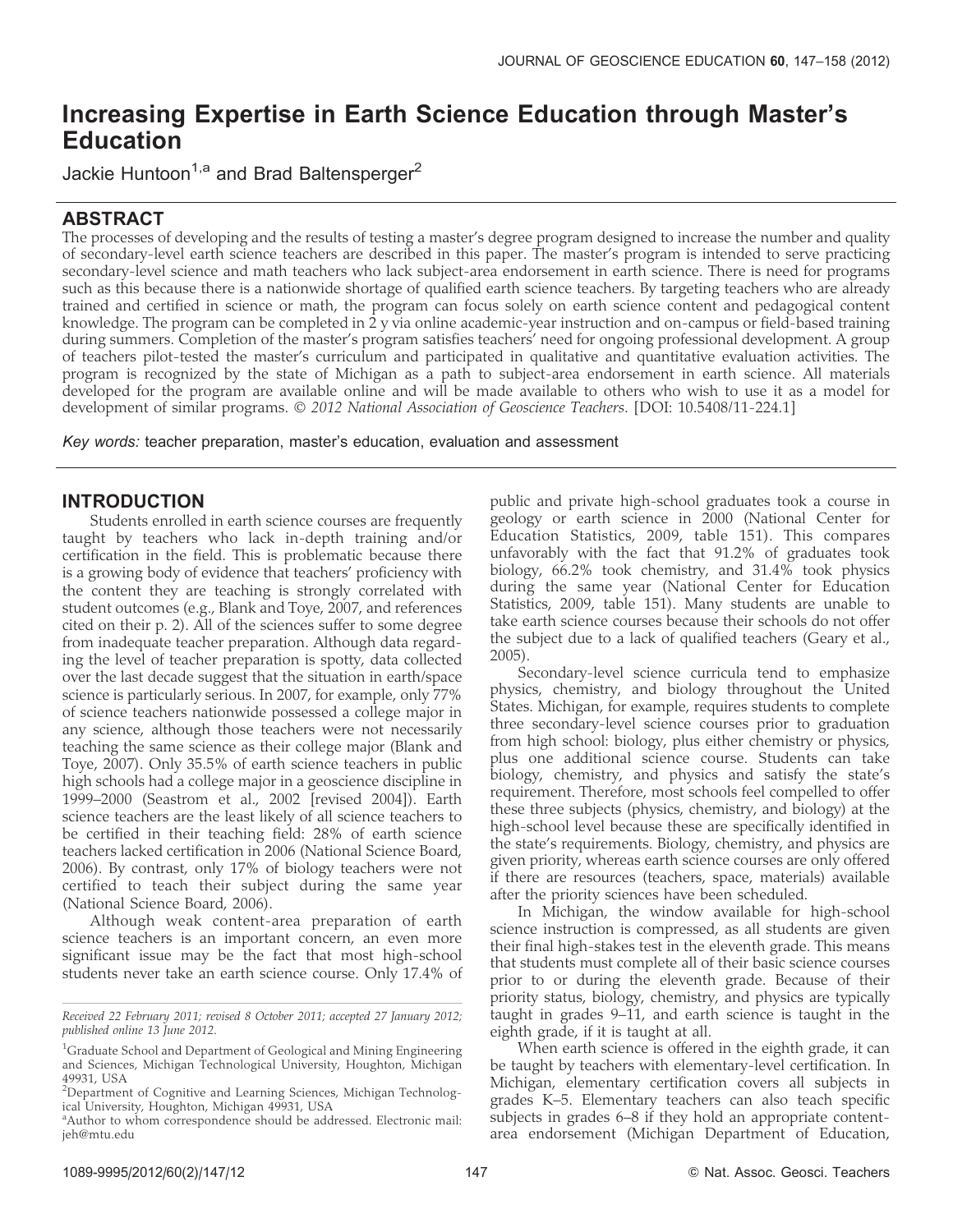# Increasing Expertise in Earth Science Education through Master's Education

Jackie Huntoon<sup>1,a</sup> and Brad Baltensperger<sup>2</sup>

# ABSTRACT

The processes of developing and the results of testing a master's degree program designed to increase the number and quality of secondary-level earth science teachers are described in this paper. The master's program is intended to serve practicing secondary-level science and math teachers who lack subject-area endorsement in earth science. There is need for programs such as this because there is a nationwide shortage of qualified earth science teachers. By targeting teachers who are already trained and certified in science or math, the program can focus solely on earth science content and pedagogical content knowledge. The program can be completed in 2 y via online academic-year instruction and on-campus or field-based training during summers. Completion of the master's program satisfies teachers' need for ongoing professional development. A group of teachers pilot-tested the master's curriculum and participated in qualitative and quantitative evaluation activities. The program is recognized by the state of Michigan as a path to subject-area endorsement in earth science. All materials developed for the program are available online and will be made available to others who wish to use it as a model for development of similar programs. © 2012 National Association of Geoscience Teachers. [DOI: 10.5408/11-224.1]

Key words: teacher preparation, master's education, evaluation and assessment

# INTRODUCTION

Students enrolled in earth science courses are frequently taught by teachers who lack in-depth training and/or certification in the field. This is problematic because there is a growing body of evidence that teachers' proficiency with the content they are teaching is strongly correlated with student outcomes (e.g., Blank and Toye, 2007, and references cited on their p. 2). All of the sciences suffer to some degree from inadequate teacher preparation. Although data regarding the level of teacher preparation is spotty, data collected over the last decade suggest that the situation in earth/space science is particularly serious. In 2007, for example, only 77% of science teachers nationwide possessed a college major in any science, although those teachers were not necessarily teaching the same science as their college major (Blank and Toye, 2007). Only 35.5% of earth science teachers in public high schools had a college major in a geoscience discipline in 1999–2000 (Seastrom et al., 2002 [revised 2004]). Earth science teachers are the least likely of all science teachers to be certified in their teaching field: 28% of earth science teachers lacked certification in 2006 (National Science Board, 2006). By contrast, only 17% of biology teachers were not certified to teach their subject during the same year (National Science Board, 2006).

Although weak content-area preparation of earth science teachers is an important concern, an even more significant issue may be the fact that most high-school students never take an earth science course. Only 17.4% of public and private high-school graduates took a course in geology or earth science in 2000 (National Center for Education Statistics, 2009, table 151). This compares unfavorably with the fact that 91.2% of graduates took biology, 66.2% took chemistry, and 31.4% took physics during the same year (National Center for Education Statistics, 2009, table 151). Many students are unable to take earth science courses because their schools do not offer the subject due to a lack of qualified teachers (Geary et al., 2005).

Secondary-level science curricula tend to emphasize physics, chemistry, and biology throughout the United States. Michigan, for example, requires students to complete three secondary-level science courses prior to graduation from high school: biology, plus either chemistry or physics, plus one additional science course. Students can take biology, chemistry, and physics and satisfy the state's requirement. Therefore, most schools feel compelled to offer these three subjects (physics, chemistry, and biology) at the high-school level because these are specifically identified in the state's requirements. Biology, chemistry, and physics are given priority, whereas earth science courses are only offered if there are resources (teachers, space, materials) available after the priority sciences have been scheduled.

In Michigan, the window available for high-school science instruction is compressed, as all students are given their final high-stakes test in the eleventh grade. This means that students must complete all of their basic science courses prior to or during the eleventh grade. Because of their priority status, biology, chemistry, and physics are typically taught in grades 9–11, and earth science is taught in the eighth grade, if it is taught at all.

When earth science is offered in the eighth grade, it can be taught by teachers with elementary-level certification. In Michigan, elementary certification covers all subjects in grades K–5. Elementary teachers can also teach specific subjects in grades 6–8 if they hold an appropriate contentarea endorsement (Michigan Department of Education,

Received 22 February 2011; revised 8 October 2011; accepted 27 January 2012; published online 13 June 2012.

<sup>&</sup>lt;sup>1</sup>Graduate School and Department of Geological and Mining Engineering and Sciences, Michigan Technological University, Houghton, Michigan 49931, USA

<sup>&</sup>lt;sup>2</sup>Department of Cognitive and Learning Sciences, Michigan Technological University, Houghton, Michigan 49931, USA

<sup>&</sup>lt;sup>a</sup> Author to whom correspondence should be addressed. Electronic mail: jeh@mtu.edu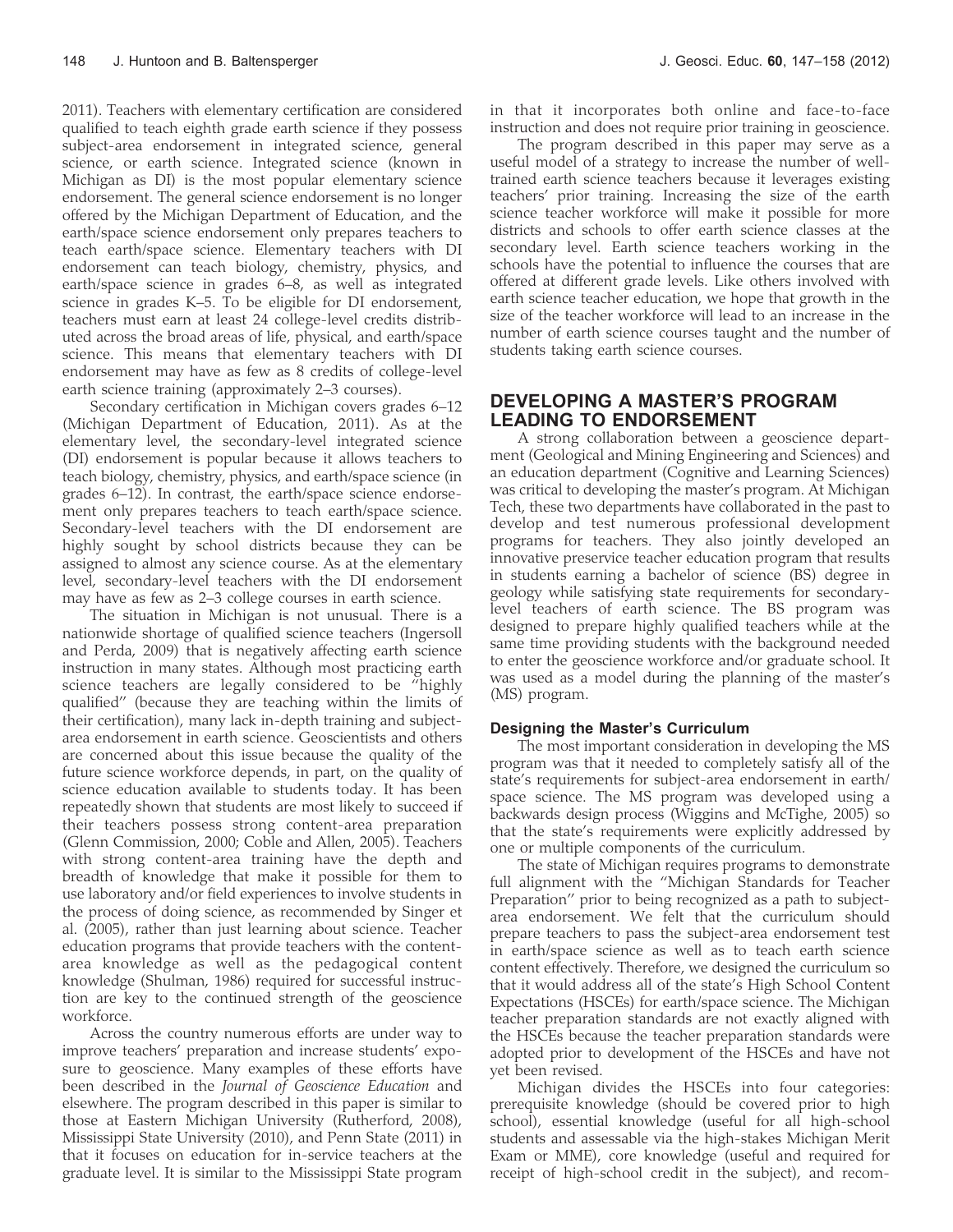2011). Teachers with elementary certification are considered qualified to teach eighth grade earth science if they possess subject-area endorsement in integrated science, general science, or earth science. Integrated science (known in Michigan as DI) is the most popular elementary science endorsement. The general science endorsement is no longer offered by the Michigan Department of Education, and the earth/space science endorsement only prepares teachers to teach earth/space science. Elementary teachers with DI endorsement can teach biology, chemistry, physics, and earth/space science in grades 6–8, as well as integrated science in grades K–5. To be eligible for DI endorsement, teachers must earn at least 24 college-level credits distributed across the broad areas of life, physical, and earth/space science. This means that elementary teachers with DI endorsement may have as few as 8 credits of college-level earth science training (approximately 2–3 courses).

Secondary certification in Michigan covers grades 6–12 (Michigan Department of Education, 2011). As at the elementary level, the secondary-level integrated science (DI) endorsement is popular because it allows teachers to teach biology, chemistry, physics, and earth/space science (in grades 6–12). In contrast, the earth/space science endorsement only prepares teachers to teach earth/space science. Secondary-level teachers with the DI endorsement are highly sought by school districts because they can be assigned to almost any science course. As at the elementary level, secondary-level teachers with the DI endorsement may have as few as 2–3 college courses in earth science.

The situation in Michigan is not unusual. There is a nationwide shortage of qualified science teachers (Ingersoll and Perda, 2009) that is negatively affecting earth science instruction in many states. Although most practicing earth science teachers are legally considered to be ''highly qualified'' (because they are teaching within the limits of their certification), many lack in-depth training and subjectarea endorsement in earth science. Geoscientists and others are concerned about this issue because the quality of the future science workforce depends, in part, on the quality of science education available to students today. It has been repeatedly shown that students are most likely to succeed if their teachers possess strong content-area preparation (Glenn Commission, 2000; Coble and Allen, 2005). Teachers with strong content-area training have the depth and breadth of knowledge that make it possible for them to use laboratory and/or field experiences to involve students in the process of doing science, as recommended by Singer et al. (2005), rather than just learning about science. Teacher education programs that provide teachers with the contentarea knowledge as well as the pedagogical content knowledge (Shulman, 1986) required for successful instruction are key to the continued strength of the geoscience workforce.

Across the country numerous efforts are under way to improve teachers' preparation and increase students' exposure to geoscience. Many examples of these efforts have been described in the Journal of Geoscience Education and elsewhere. The program described in this paper is similar to those at Eastern Michigan University (Rutherford, 2008), Mississippi State University (2010), and Penn State (2011) in that it focuses on education for in-service teachers at the graduate level. It is similar to the Mississippi State program

in that it incorporates both online and face-to-face instruction and does not require prior training in geoscience.

The program described in this paper may serve as a useful model of a strategy to increase the number of welltrained earth science teachers because it leverages existing teachers' prior training. Increasing the size of the earth science teacher workforce will make it possible for more districts and schools to offer earth science classes at the secondary level. Earth science teachers working in the schools have the potential to influence the courses that are offered at different grade levels. Like others involved with earth science teacher education, we hope that growth in the size of the teacher workforce will lead to an increase in the number of earth science courses taught and the number of students taking earth science courses.

# DEVELOPING A MASTER'S PROGRAM LEADING TO ENDORSEMENT

A strong collaboration between a geoscience department (Geological and Mining Engineering and Sciences) and an education department (Cognitive and Learning Sciences) was critical to developing the master's program. At Michigan Tech, these two departments have collaborated in the past to develop and test numerous professional development programs for teachers. They also jointly developed an innovative preservice teacher education program that results in students earning a bachelor of science (BS) degree in geology while satisfying state requirements for secondarylevel teachers of earth science. The BS program was designed to prepare highly qualified teachers while at the same time providing students with the background needed to enter the geoscience workforce and/or graduate school. It was used as a model during the planning of the master's (MS) program.

#### Designing the Master's Curriculum

The most important consideration in developing the MS program was that it needed to completely satisfy all of the state's requirements for subject-area endorsement in earth/ space science. The MS program was developed using a backwards design process (Wiggins and McTighe, 2005) so that the state's requirements were explicitly addressed by one or multiple components of the curriculum.

The state of Michigan requires programs to demonstrate full alignment with the ''Michigan Standards for Teacher Preparation'' prior to being recognized as a path to subjectarea endorsement. We felt that the curriculum should prepare teachers to pass the subject-area endorsement test in earth/space science as well as to teach earth science content effectively. Therefore, we designed the curriculum so that it would address all of the state's High School Content Expectations (HSCEs) for earth/space science. The Michigan teacher preparation standards are not exactly aligned with the HSCEs because the teacher preparation standards were adopted prior to development of the HSCEs and have not yet been revised.

Michigan divides the HSCEs into four categories: prerequisite knowledge (should be covered prior to high school), essential knowledge (useful for all high-school students and assessable via the high-stakes Michigan Merit Exam or MME), core knowledge (useful and required for receipt of high-school credit in the subject), and recom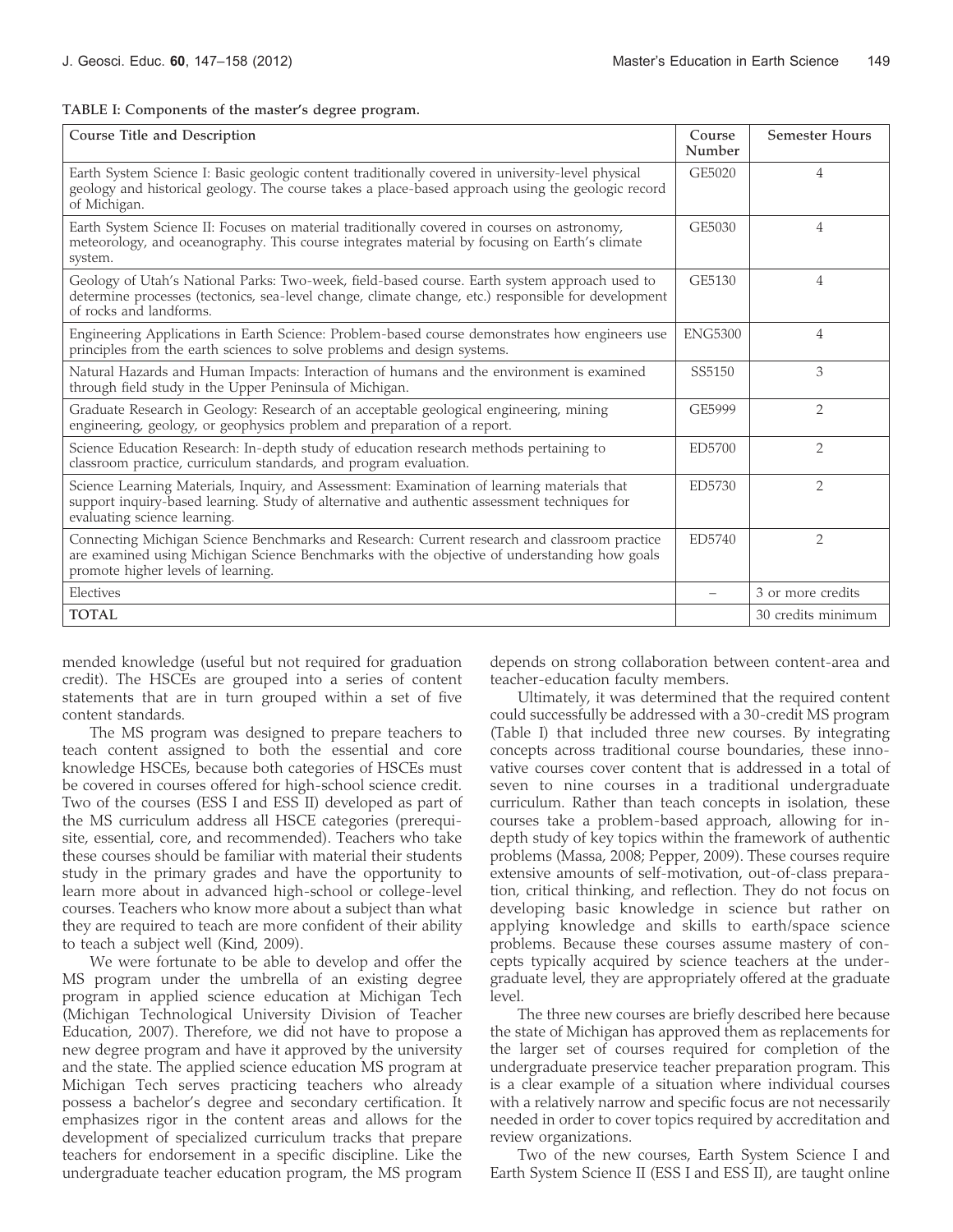TABLE I: Components of the master's degree program.

| Course Title and Description                                                                                                                                                                                                       | Course<br>Number | <b>Semester Hours</b> |
|------------------------------------------------------------------------------------------------------------------------------------------------------------------------------------------------------------------------------------|------------------|-----------------------|
| Earth System Science I: Basic geologic content traditionally covered in university-level physical<br>geology and historical geology. The course takes a place-based approach using the geologic record<br>of Michigan.             | GE5020           | 4                     |
| Earth System Science II: Focuses on material traditionally covered in courses on astronomy,<br>meteorology, and oceanography. This course integrates material by focusing on Earth's climate<br>system.                            | GE5030           | 4                     |
| Geology of Utah's National Parks: Two-week, field-based course. Earth system approach used to<br>determine processes (tectonics, sea-level change, climate change, etc.) responsible for development<br>of rocks and landforms.    | GE5130           | 4                     |
| Engineering Applications in Earth Science: Problem-based course demonstrates how engineers use<br>principles from the earth sciences to solve problems and design systems.                                                         | <b>ENG5300</b>   | $\overline{4}$        |
| Natural Hazards and Human Impacts: Interaction of humans and the environment is examined<br>through field study in the Upper Peninsula of Michigan.                                                                                | SS5150           | 3                     |
| Graduate Research in Geology: Research of an acceptable geological engineering, mining<br>engineering, geology, or geophysics problem and preparation of a report.                                                                 | GE5999           | $\overline{2}$        |
| Science Education Research: In-depth study of education research methods pertaining to<br>classroom practice, curriculum standards, and program evaluation.                                                                        | ED5700           | $\overline{2}$        |
| Science Learning Materials, Inquiry, and Assessment: Examination of learning materials that<br>support inquiry-based learning. Study of alternative and authentic assessment techniques for<br>evaluating science learning.        | ED5730           | 2                     |
| Connecting Michigan Science Benchmarks and Research: Current research and classroom practice<br>are examined using Michigan Science Benchmarks with the objective of understanding how goals<br>promote higher levels of learning. | ED5740           | $\overline{2}$        |
| Electives                                                                                                                                                                                                                          |                  | 3 or more credits     |
| <b>TOTAL</b>                                                                                                                                                                                                                       |                  | 30 credits minimum    |

mended knowledge (useful but not required for graduation credit). The HSCEs are grouped into a series of content statements that are in turn grouped within a set of five content standards.

The MS program was designed to prepare teachers to teach content assigned to both the essential and core knowledge HSCEs, because both categories of HSCEs must be covered in courses offered for high-school science credit. Two of the courses (ESS I and ESS II) developed as part of the MS curriculum address all HSCE categories (prerequisite, essential, core, and recommended). Teachers who take these courses should be familiar with material their students study in the primary grades and have the opportunity to learn more about in advanced high-school or college-level courses. Teachers who know more about a subject than what they are required to teach are more confident of their ability to teach a subject well (Kind, 2009).

We were fortunate to be able to develop and offer the MS program under the umbrella of an existing degree program in applied science education at Michigan Tech (Michigan Technological University Division of Teacher Education, 2007). Therefore, we did not have to propose a new degree program and have it approved by the university and the state. The applied science education MS program at Michigan Tech serves practicing teachers who already possess a bachelor's degree and secondary certification. It emphasizes rigor in the content areas and allows for the development of specialized curriculum tracks that prepare teachers for endorsement in a specific discipline. Like the undergraduate teacher education program, the MS program

depends on strong collaboration between content-area and teacher-education faculty members.

Ultimately, it was determined that the required content could successfully be addressed with a 30-credit MS program (Table I) that included three new courses. By integrating concepts across traditional course boundaries, these innovative courses cover content that is addressed in a total of seven to nine courses in a traditional undergraduate curriculum. Rather than teach concepts in isolation, these courses take a problem-based approach, allowing for indepth study of key topics within the framework of authentic problems (Massa, 2008; Pepper, 2009). These courses require extensive amounts of self-motivation, out-of-class preparation, critical thinking, and reflection. They do not focus on developing basic knowledge in science but rather on applying knowledge and skills to earth/space science problems. Because these courses assume mastery of concepts typically acquired by science teachers at the undergraduate level, they are appropriately offered at the graduate level.

The three new courses are briefly described here because the state of Michigan has approved them as replacements for the larger set of courses required for completion of the undergraduate preservice teacher preparation program. This is a clear example of a situation where individual courses with a relatively narrow and specific focus are not necessarily needed in order to cover topics required by accreditation and review organizations.

Two of the new courses, Earth System Science I and Earth System Science II (ESS I and ESS II), are taught online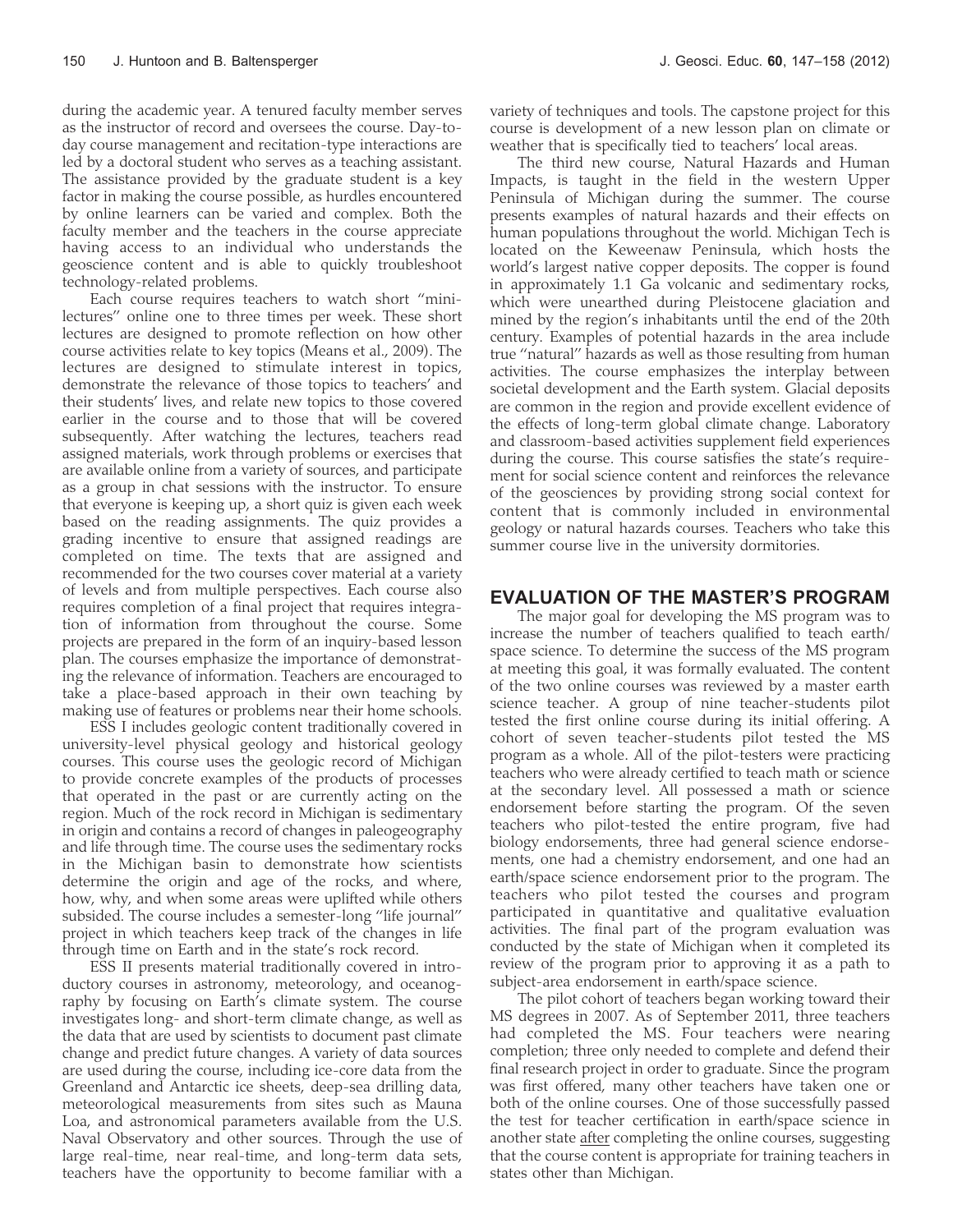during the academic year. A tenured faculty member serves as the instructor of record and oversees the course. Day-today course management and recitation-type interactions are led by a doctoral student who serves as a teaching assistant. The assistance provided by the graduate student is a key factor in making the course possible, as hurdles encountered by online learners can be varied and complex. Both the faculty member and the teachers in the course appreciate having access to an individual who understands the geoscience content and is able to quickly troubleshoot technology-related problems.

Each course requires teachers to watch short ''minilectures'' online one to three times per week. These short lectures are designed to promote reflection on how other course activities relate to key topics (Means et al., 2009). The lectures are designed to stimulate interest in topics, demonstrate the relevance of those topics to teachers' and their students' lives, and relate new topics to those covered earlier in the course and to those that will be covered subsequently. After watching the lectures, teachers read assigned materials, work through problems or exercises that are available online from a variety of sources, and participate as a group in chat sessions with the instructor. To ensure that everyone is keeping up, a short quiz is given each week based on the reading assignments. The quiz provides a grading incentive to ensure that assigned readings are completed on time. The texts that are assigned and recommended for the two courses cover material at a variety of levels and from multiple perspectives. Each course also requires completion of a final project that requires integration of information from throughout the course. Some projects are prepared in the form of an inquiry-based lesson plan. The courses emphasize the importance of demonstrating the relevance of information. Teachers are encouraged to take a place-based approach in their own teaching by making use of features or problems near their home schools.

ESS I includes geologic content traditionally covered in university-level physical geology and historical geology courses. This course uses the geologic record of Michigan to provide concrete examples of the products of processes that operated in the past or are currently acting on the region. Much of the rock record in Michigan is sedimentary in origin and contains a record of changes in paleogeography and life through time. The course uses the sedimentary rocks in the Michigan basin to demonstrate how scientists determine the origin and age of the rocks, and where, how, why, and when some areas were uplifted while others subsided. The course includes a semester-long ''life journal'' project in which teachers keep track of the changes in life through time on Earth and in the state's rock record.

ESS II presents material traditionally covered in introductory courses in astronomy, meteorology, and oceanography by focusing on Earth's climate system. The course investigates long- and short-term climate change, as well as the data that are used by scientists to document past climate change and predict future changes. A variety of data sources are used during the course, including ice-core data from the Greenland and Antarctic ice sheets, deep-sea drilling data, meteorological measurements from sites such as Mauna Loa, and astronomical parameters available from the U.S. Naval Observatory and other sources. Through the use of large real-time, near real-time, and long-term data sets, teachers have the opportunity to become familiar with a

variety of techniques and tools. The capstone project for this course is development of a new lesson plan on climate or weather that is specifically tied to teachers' local areas.

The third new course, Natural Hazards and Human Impacts, is taught in the field in the western Upper Peninsula of Michigan during the summer. The course presents examples of natural hazards and their effects on human populations throughout the world. Michigan Tech is located on the Keweenaw Peninsula, which hosts the world's largest native copper deposits. The copper is found in approximately 1.1 Ga volcanic and sedimentary rocks, which were unearthed during Pleistocene glaciation and mined by the region's inhabitants until the end of the 20th century. Examples of potential hazards in the area include true ''natural'' hazards as well as those resulting from human activities. The course emphasizes the interplay between societal development and the Earth system. Glacial deposits are common in the region and provide excellent evidence of the effects of long-term global climate change. Laboratory and classroom-based activities supplement field experiences during the course. This course satisfies the state's requirement for social science content and reinforces the relevance of the geosciences by providing strong social context for content that is commonly included in environmental geology or natural hazards courses. Teachers who take this summer course live in the university dormitories.

## EVALUATION OF THE MASTER'S PROGRAM

The major goal for developing the MS program was to increase the number of teachers qualified to teach earth/ space science. To determine the success of the MS program at meeting this goal, it was formally evaluated. The content of the two online courses was reviewed by a master earth science teacher. A group of nine teacher-students pilot tested the first online course during its initial offering. A cohort of seven teacher-students pilot tested the MS program as a whole. All of the pilot-testers were practicing teachers who were already certified to teach math or science at the secondary level. All possessed a math or science endorsement before starting the program. Of the seven teachers who pilot-tested the entire program, five had biology endorsements, three had general science endorsements, one had a chemistry endorsement, and one had an earth/space science endorsement prior to the program. The teachers who pilot tested the courses and program participated in quantitative and qualitative evaluation activities. The final part of the program evaluation was conducted by the state of Michigan when it completed its review of the program prior to approving it as a path to subject-area endorsement in earth/space science.

The pilot cohort of teachers began working toward their MS degrees in 2007. As of September 2011, three teachers had completed the MS. Four teachers were nearing completion; three only needed to complete and defend their final research project in order to graduate. Since the program was first offered, many other teachers have taken one or both of the online courses. One of those successfully passed the test for teacher certification in earth/space science in another state after completing the online courses, suggesting that the course content is appropriate for training teachers in states other than Michigan.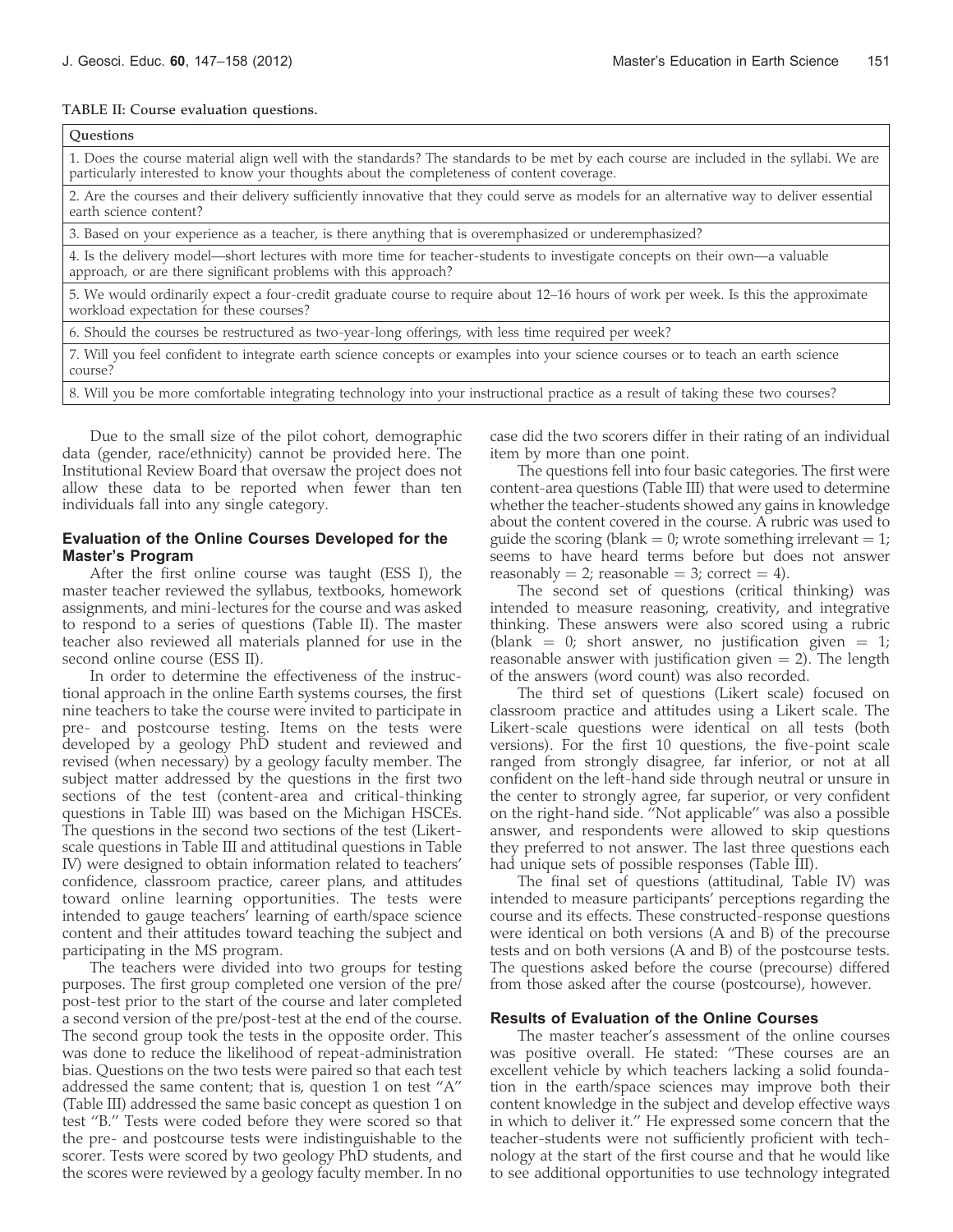#### TABLE II: Course evaluation questions.

| <b>Ouestions</b>                                                                                                                                                                                                                   |
|------------------------------------------------------------------------------------------------------------------------------------------------------------------------------------------------------------------------------------|
| 1. Does the course material align well with the standards? The standards to be met by each course are included in the syllabi. We are<br>particularly interested to know your thoughts about the completeness of content coverage. |
| 2. Are the courses and their delivery sufficiently innovative that they could serve as models for an alternative way to deliver essential<br>earth science content?                                                                |
| 3. Based on your experience as a teacher, is there anything that is overemphasized or underemphasized?                                                                                                                             |
| 4. Is the delivery model—short lectures with more time for teacher-students to investigate concepts on their own—a valuable<br>approach, or are there significant problems with this approach?                                     |
| 5. We would ordinarily expect a four-credit graduate course to require about 12–16 hours of work per week. Is this the approximate<br>workload expectation for these courses?                                                      |
| 6. Should the courses be restructured as two-year-long offerings, with less time required per week?                                                                                                                                |
| 7. Will you feel confident to integrate earth science concepts or examples into your science courses or to teach an earth science<br>course?                                                                                       |
| 8. Will you be more comfortable integrating technology into your instructional practice as a result of taking these two courses?                                                                                                   |

Due to the small size of the pilot cohort, demographic data (gender, race/ethnicity) cannot be provided here. The Institutional Review Board that oversaw the project does not allow these data to be reported when fewer than ten individuals fall into any single category.

#### Evaluation of the Online Courses Developed for the Master's Program

After the first online course was taught (ESS I), the master teacher reviewed the syllabus, textbooks, homework assignments, and mini-lectures for the course and was asked to respond to a series of questions (Table II). The master teacher also reviewed all materials planned for use in the second online course (ESS II).

In order to determine the effectiveness of the instructional approach in the online Earth systems courses, the first nine teachers to take the course were invited to participate in pre- and postcourse testing. Items on the tests were developed by a geology PhD student and reviewed and revised (when necessary) by a geology faculty member. The subject matter addressed by the questions in the first two sections of the test (content-area and critical-thinking questions in Table III) was based on the Michigan HSCEs. The questions in the second two sections of the test (Likertscale questions in Table III and attitudinal questions in Table IV) were designed to obtain information related to teachers' confidence, classroom practice, career plans, and attitudes toward online learning opportunities. The tests were intended to gauge teachers' learning of earth/space science content and their attitudes toward teaching the subject and participating in the MS program.

The teachers were divided into two groups for testing purposes. The first group completed one version of the pre/ post-test prior to the start of the course and later completed a second version of the pre/post-test at the end of the course. The second group took the tests in the opposite order. This was done to reduce the likelihood of repeat-administration bias. Questions on the two tests were paired so that each test addressed the same content; that is, question 1 on test ''A'' (Table III) addressed the same basic concept as question 1 on test ''B.'' Tests were coded before they were scored so that the pre- and postcourse tests were indistinguishable to the scorer. Tests were scored by two geology PhD students, and the scores were reviewed by a geology faculty member. In no

case did the two scorers differ in their rating of an individual item by more than one point.

The questions fell into four basic categories. The first were content-area questions (Table III) that were used to determine whether the teacher-students showed any gains in knowledge about the content covered in the course. A rubric was used to guide the scoring (blank = 0; wrote something irrelevant = 1; seems to have heard terms before but does not answer reasonably = 2; reasonable = 3; correct = 4).

The second set of questions (critical thinking) was intended to measure reasoning, creativity, and integrative thinking. These answers were also scored using a rubric (blank = 0; short answer, no justification given = 1; reasonable answer with justification given  $= 2$ ). The length of the answers (word count) was also recorded.

The third set of questions (Likert scale) focused on classroom practice and attitudes using a Likert scale. The Likert-scale questions were identical on all tests (both versions). For the first 10 questions, the five-point scale ranged from strongly disagree, far inferior, or not at all confident on the left-hand side through neutral or unsure in the center to strongly agree, far superior, or very confident on the right-hand side. ''Not applicable'' was also a possible answer, and respondents were allowed to skip questions they preferred to not answer. The last three questions each had unique sets of possible responses (Table III).

The final set of questions (attitudinal, Table IV) was intended to measure participants' perceptions regarding the course and its effects. These constructed-response questions were identical on both versions (A and B) of the precourse tests and on both versions (A and B) of the postcourse tests. The questions asked before the course (precourse) differed from those asked after the course (postcourse), however.

#### Results of Evaluation of the Online Courses

The master teacher's assessment of the online courses was positive overall. He stated: ''These courses are an excellent vehicle by which teachers lacking a solid foundation in the earth/space sciences may improve both their content knowledge in the subject and develop effective ways in which to deliver it.'' He expressed some concern that the teacher-students were not sufficiently proficient with technology at the start of the first course and that he would like to see additional opportunities to use technology integrated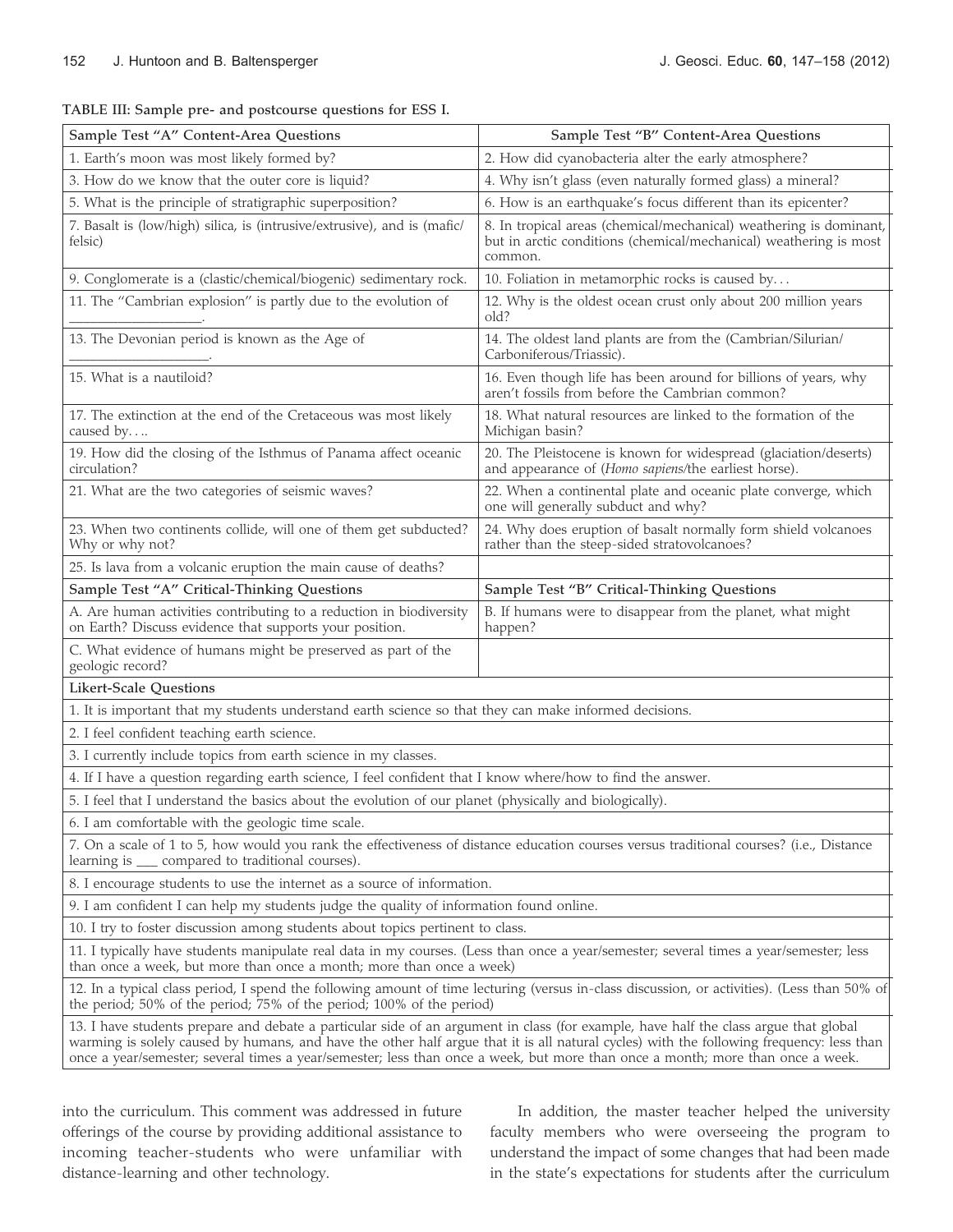TABLE III: Sample pre- and postcourse questions for ESS I.

| Sample Test "A" Content-Area Questions                                                                                                                                                                                                                                                                                                                                                                             | Sample Test "B" Content-Area Questions                                                                                                             |  |  |
|--------------------------------------------------------------------------------------------------------------------------------------------------------------------------------------------------------------------------------------------------------------------------------------------------------------------------------------------------------------------------------------------------------------------|----------------------------------------------------------------------------------------------------------------------------------------------------|--|--|
| 1. Earth's moon was most likely formed by?                                                                                                                                                                                                                                                                                                                                                                         | 2. How did cyanobacteria alter the early atmosphere?                                                                                               |  |  |
| 3. How do we know that the outer core is liquid?                                                                                                                                                                                                                                                                                                                                                                   | 4. Why isn't glass (even naturally formed glass) a mineral?                                                                                        |  |  |
| 5. What is the principle of stratigraphic superposition?                                                                                                                                                                                                                                                                                                                                                           | 6. How is an earthquake's focus different than its epicenter?                                                                                      |  |  |
| 7. Basalt is (low/high) silica, is (intrusive/extrusive), and is (mafic/<br>felsic)                                                                                                                                                                                                                                                                                                                                | 8. In tropical areas (chemical/mechanical) weathering is dominant,<br>but in arctic conditions (chemical/mechanical) weathering is most<br>common. |  |  |
| 9. Conglomerate is a (clastic/chemical/biogenic) sedimentary rock.                                                                                                                                                                                                                                                                                                                                                 | 10. Foliation in metamorphic rocks is caused by                                                                                                    |  |  |
| 11. The "Cambrian explosion" is partly due to the evolution of                                                                                                                                                                                                                                                                                                                                                     | 12. Why is the oldest ocean crust only about 200 million years<br>old?                                                                             |  |  |
| 13. The Devonian period is known as the Age of                                                                                                                                                                                                                                                                                                                                                                     | 14. The oldest land plants are from the (Cambrian/Silurian/<br>Carboniferous/Triassic).                                                            |  |  |
| 15. What is a nautiloid?                                                                                                                                                                                                                                                                                                                                                                                           | 16. Even though life has been around for billions of years, why<br>aren't fossils from before the Cambrian common?                                 |  |  |
| 17. The extinction at the end of the Cretaceous was most likely<br>caused by                                                                                                                                                                                                                                                                                                                                       | 18. What natural resources are linked to the formation of the<br>Michigan basin?                                                                   |  |  |
| 19. How did the closing of the Isthmus of Panama affect oceanic<br>circulation?                                                                                                                                                                                                                                                                                                                                    | 20. The Pleistocene is known for widespread (glaciation/deserts)<br>and appearance of (Homo sapiens/the earliest horse).                           |  |  |
| 21. What are the two categories of seismic waves?                                                                                                                                                                                                                                                                                                                                                                  | 22. When a continental plate and oceanic plate converge, which<br>one will generally subduct and why?                                              |  |  |
| 23. When two continents collide, will one of them get subducted?<br>Why or why not?                                                                                                                                                                                                                                                                                                                                | 24. Why does eruption of basalt normally form shield volcanoes<br>rather than the steep-sided stratovolcanoes?                                     |  |  |
| 25. Is lava from a volcanic eruption the main cause of deaths?                                                                                                                                                                                                                                                                                                                                                     |                                                                                                                                                    |  |  |
| Sample Test "A" Critical-Thinking Questions                                                                                                                                                                                                                                                                                                                                                                        | Sample Test "B" Critical-Thinking Questions                                                                                                        |  |  |
| A. Are human activities contributing to a reduction in biodiversity<br>on Earth? Discuss evidence that supports your position.                                                                                                                                                                                                                                                                                     | B. If humans were to disappear from the planet, what might<br>happen?                                                                              |  |  |
| C. What evidence of humans might be preserved as part of the<br>geologic record?                                                                                                                                                                                                                                                                                                                                   |                                                                                                                                                    |  |  |
| <b>Likert-Scale Questions</b>                                                                                                                                                                                                                                                                                                                                                                                      |                                                                                                                                                    |  |  |
| 1. It is important that my students understand earth science so that they can make informed decisions.                                                                                                                                                                                                                                                                                                             |                                                                                                                                                    |  |  |
| 2. I feel confident teaching earth science.                                                                                                                                                                                                                                                                                                                                                                        |                                                                                                                                                    |  |  |
| 3. I currently include topics from earth science in my classes.                                                                                                                                                                                                                                                                                                                                                    |                                                                                                                                                    |  |  |
| 4. If I have a question regarding earth science, I feel confident that I know where/how to find the answer.                                                                                                                                                                                                                                                                                                        |                                                                                                                                                    |  |  |
| 5. I feel that I understand the basics about the evolution of our planet (physically and biologically).                                                                                                                                                                                                                                                                                                            |                                                                                                                                                    |  |  |
| 6. I am comfortable with the geologic time scale.                                                                                                                                                                                                                                                                                                                                                                  |                                                                                                                                                    |  |  |
| 7. On a scale of 1 to 5, how would you rank the effectiveness of distance education courses versus traditional courses? (i.e., Distance<br>learning is ____ compared to traditional courses).                                                                                                                                                                                                                      |                                                                                                                                                    |  |  |
| 8. I encourage students to use the internet as a source of information.                                                                                                                                                                                                                                                                                                                                            |                                                                                                                                                    |  |  |
| 9. I am confident I can help my students judge the quality of information found online.                                                                                                                                                                                                                                                                                                                            |                                                                                                                                                    |  |  |
| 10. I try to foster discussion among students about topics pertinent to class.                                                                                                                                                                                                                                                                                                                                     |                                                                                                                                                    |  |  |
| 11. I typically have students manipulate real data in my courses. (Less than once a year/semester; several times a year/semester; less<br>than once a week, but more than once a month; more than once a week)                                                                                                                                                                                                     |                                                                                                                                                    |  |  |
| 12. In a typical class period, I spend the following amount of time lecturing (versus in-class discussion, or activities). (Less than 50% of<br>the period; 50% of the period; 75% of the period; 100% of the period)                                                                                                                                                                                              |                                                                                                                                                    |  |  |
| 13. I have students prepare and debate a particular side of an argument in class (for example, have half the class argue that global<br>warming is solely caused by humans, and have the other half argue that it is all natural cycles) with the following frequency: less than<br>once a year/semester; several times a year/semester; less than once a week, but more than once a month; more than once a week. |                                                                                                                                                    |  |  |

into the curriculum. This comment was addressed in future offerings of the course by providing additional assistance to incoming teacher-students who were unfamiliar with distance-learning and other technology.

In addition, the master teacher helped the university faculty members who were overseeing the program to understand the impact of some changes that had been made in the state's expectations for students after the curriculum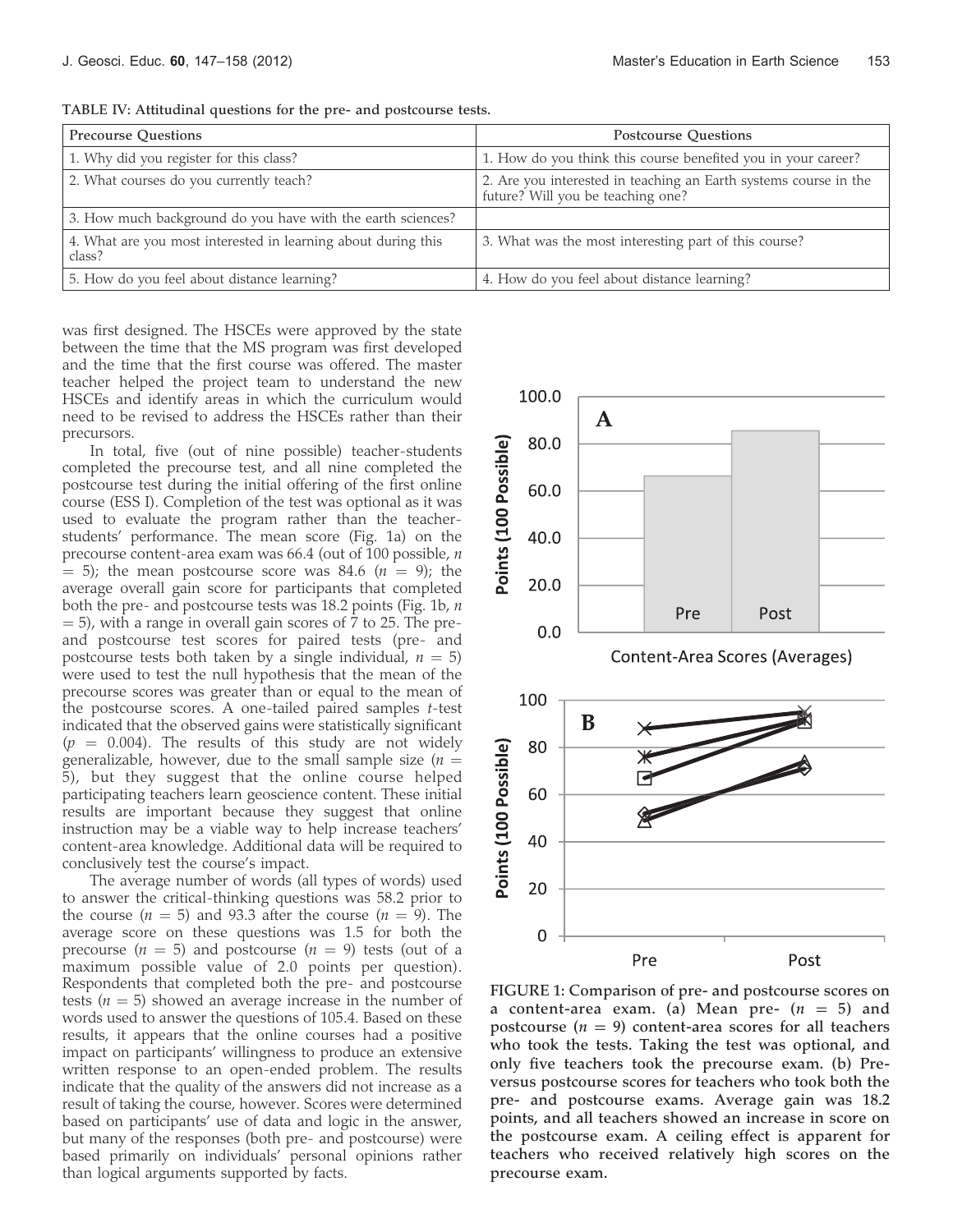| <b>Precourse Questions</b>                                              | <b>Postcourse Questions</b>                                                                           |
|-------------------------------------------------------------------------|-------------------------------------------------------------------------------------------------------|
| 1. Why did you register for this class?                                 | 1. How do you think this course benefited you in your career?                                         |
| 2. What courses do you currently teach?                                 | 2. Are you interested in teaching an Earth systems course in the<br>future? Will you be teaching one? |
| 3. How much background do you have with the earth sciences?             |                                                                                                       |
| 4. What are you most interested in learning about during this<br>class? | 3. What was the most interesting part of this course?                                                 |
| 5. How do you feel about distance learning?                             | 4. How do you feel about distance learning?                                                           |

TABLE IV: Attitudinal questions for the pre- and postcourse tests.

was first designed. The HSCEs were approved by the state between the time that the MS program was first developed and the time that the first course was offered. The master teacher helped the project team to understand the new HSCEs and identify areas in which the curriculum would need to be revised to address the HSCEs rather than their precursors.

In total, five (out of nine possible) teacher-students completed the precourse test, and all nine completed the postcourse test during the initial offering of the first online course (ESS I). Completion of the test was optional as it was used to evaluate the program rather than the teacherstudents' performance. The mean score (Fig. 1a) on the precourse content-area exam was 66.4 (out of 100 possible, n  $= 5$ ; the mean postcourse score was 84.6 ( $n = 9$ ); the average overall gain score for participants that completed both the pre- and postcourse tests was 18.2 points (Fig. 1b,  $n$ = 5), with a range in overall gain scores of 7 to 25. The preand postcourse test scores for paired tests (pre- and postcourse tests both taken by a single individual,  $n = 5$ ) were used to test the null hypothesis that the mean of the precourse scores was greater than or equal to the mean of the postcourse scores. A one-tailed paired samples t-test indicated that the observed gains were statistically significant  $(p = 0.004)$ . The results of this study are not widely generalizable, however, due to the small sample size ( $n =$ 5), but they suggest that the online course helped participating teachers learn geoscience content. These initial results are important because they suggest that online instruction may be a viable way to help increase teachers' content-area knowledge. Additional data will be required to conclusively test the course's impact.

The average number of words (all types of words) used to answer the critical-thinking questions was 58.2 prior to the course ( $n = 5$ ) and 93.3 after the course ( $n = 9$ ). The average score on these questions was 1.5 for both the precourse ( $n = 5$ ) and postcourse ( $n = 9$ ) tests (out of a maximum possible value of 2.0 points per question). Respondents that completed both the pre- and postcourse tests ( $n = 5$ ) showed an average increase in the number of words used to answer the questions of 105.4. Based on these results, it appears that the online courses had a positive impact on participants' willingness to produce an extensive written response to an open-ended problem. The results indicate that the quality of the answers did not increase as a result of taking the course, however. Scores were determined based on participants' use of data and logic in the answer, but many of the responses (both pre- and postcourse) were based primarily on individuals' personal opinions rather than logical arguments supported by facts.



FIGURE 1: Comparison of pre- and postcourse scores on a content-area exam. (a) Mean pre-  $(n = 5)$  and postcourse ( $n = 9$ ) content-area scores for all teachers who took the tests. Taking the test was optional, and only five teachers took the precourse exam. (b) Preversus postcourse scores for teachers who took both the pre- and postcourse exams. Average gain was 18.2 points, and all teachers showed an increase in score on the postcourse exam. A ceiling effect is apparent for teachers who received relatively high scores on the precourse exam.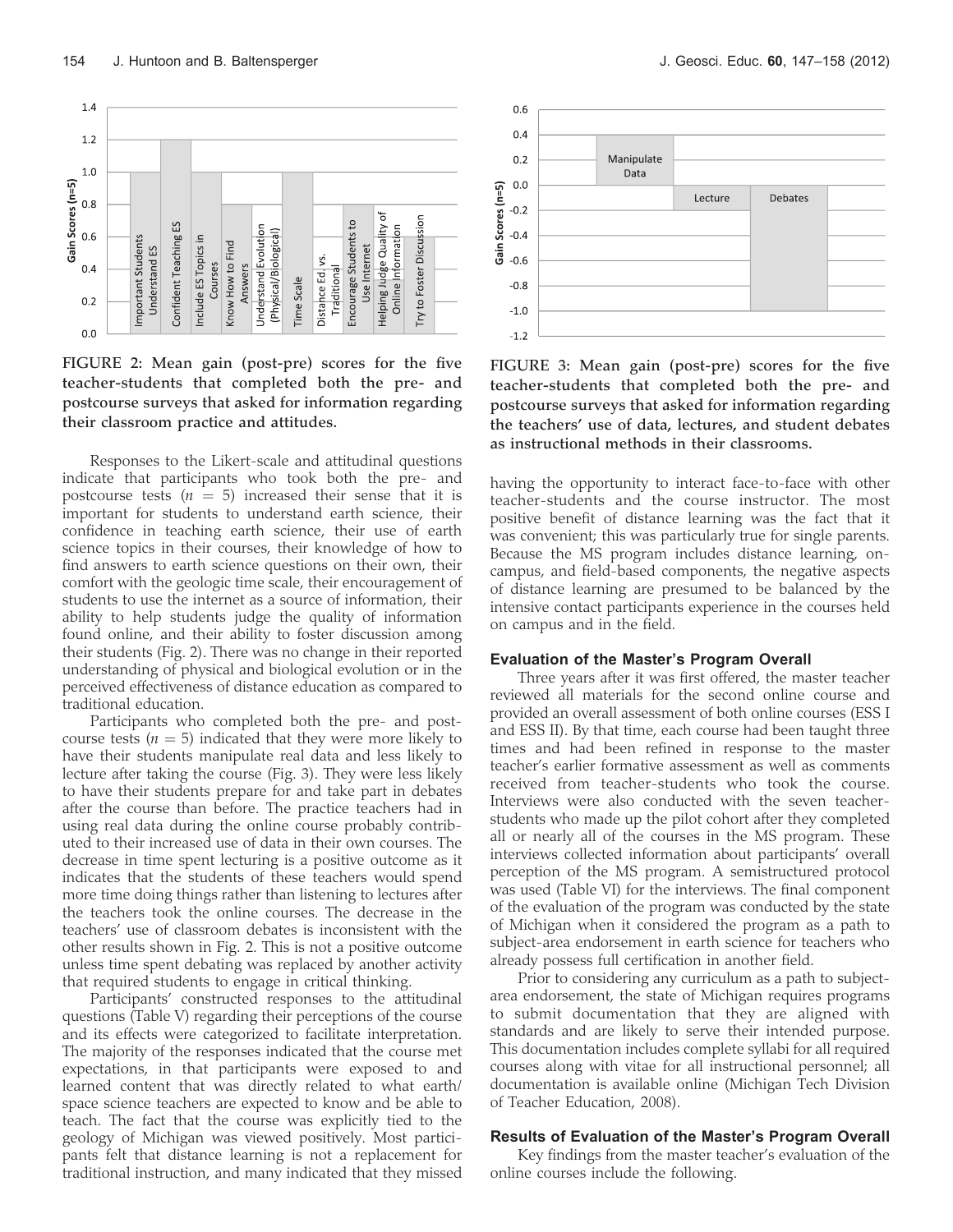

FIGURE 2: Mean gain (post-pre) scores for the five teacher-students that completed both the pre- and postcourse surveys that asked for information regarding their classroom practice and attitudes.

Responses to the Likert-scale and attitudinal questions indicate that participants who took both the pre- and postcourse tests ( $n = 5$ ) increased their sense that it is important for students to understand earth science, their confidence in teaching earth science, their use of earth science topics in their courses, their knowledge of how to find answers to earth science questions on their own, their comfort with the geologic time scale, their encouragement of students to use the internet as a source of information, their ability to help students judge the quality of information found online, and their ability to foster discussion among their students (Fig. 2). There was no change in their reported understanding of physical and biological evolution or in the perceived effectiveness of distance education as compared to traditional education.

Participants who completed both the pre- and postcourse tests ( $n = 5$ ) indicated that they were more likely to have their students manipulate real data and less likely to lecture after taking the course (Fig. 3). They were less likely to have their students prepare for and take part in debates after the course than before. The practice teachers had in using real data during the online course probably contributed to their increased use of data in their own courses. The decrease in time spent lecturing is a positive outcome as it indicates that the students of these teachers would spend more time doing things rather than listening to lectures after the teachers took the online courses. The decrease in the teachers' use of classroom debates is inconsistent with the other results shown in Fig. 2. This is not a positive outcome unless time spent debating was replaced by another activity that required students to engage in critical thinking.

Participants' constructed responses to the attitudinal questions (Table V) regarding their perceptions of the course and its effects were categorized to facilitate interpretation. The majority of the responses indicated that the course met expectations, in that participants were exposed to and learned content that was directly related to what earth/ space science teachers are expected to know and be able to teach. The fact that the course was explicitly tied to the geology of Michigan was viewed positively. Most participants felt that distance learning is not a replacement for traditional instruction, and many indicated that they missed



FIGURE 3: Mean gain (post-pre) scores for the five teacher-students that completed both the pre- and postcourse surveys that asked for information regarding the teachers' use of data, lectures, and student debates as instructional methods in their classrooms.

having the opportunity to interact face-to-face with other teacher-students and the course instructor. The most positive benefit of distance learning was the fact that it was convenient; this was particularly true for single parents. Because the MS program includes distance learning, oncampus, and field-based components, the negative aspects of distance learning are presumed to be balanced by the intensive contact participants experience in the courses held on campus and in the field.

#### Evaluation of the Master's Program Overall

Three years after it was first offered, the master teacher reviewed all materials for the second online course and provided an overall assessment of both online courses (ESS I and ESS II). By that time, each course had been taught three times and had been refined in response to the master teacher's earlier formative assessment as well as comments received from teacher-students who took the course. Interviews were also conducted with the seven teacherstudents who made up the pilot cohort after they completed all or nearly all of the courses in the MS program. These interviews collected information about participants' overall perception of the MS program. A semistructured protocol was used (Table VI) for the interviews. The final component of the evaluation of the program was conducted by the state of Michigan when it considered the program as a path to subject-area endorsement in earth science for teachers who already possess full certification in another field.

Prior to considering any curriculum as a path to subjectarea endorsement, the state of Michigan requires programs to submit documentation that they are aligned with standards and are likely to serve their intended purpose. This documentation includes complete syllabi for all required courses along with vitae for all instructional personnel; all documentation is available online (Michigan Tech Division of Teacher Education, 2008).

#### Results of Evaluation of the Master's Program Overall

Key findings from the master teacher's evaluation of the online courses include the following.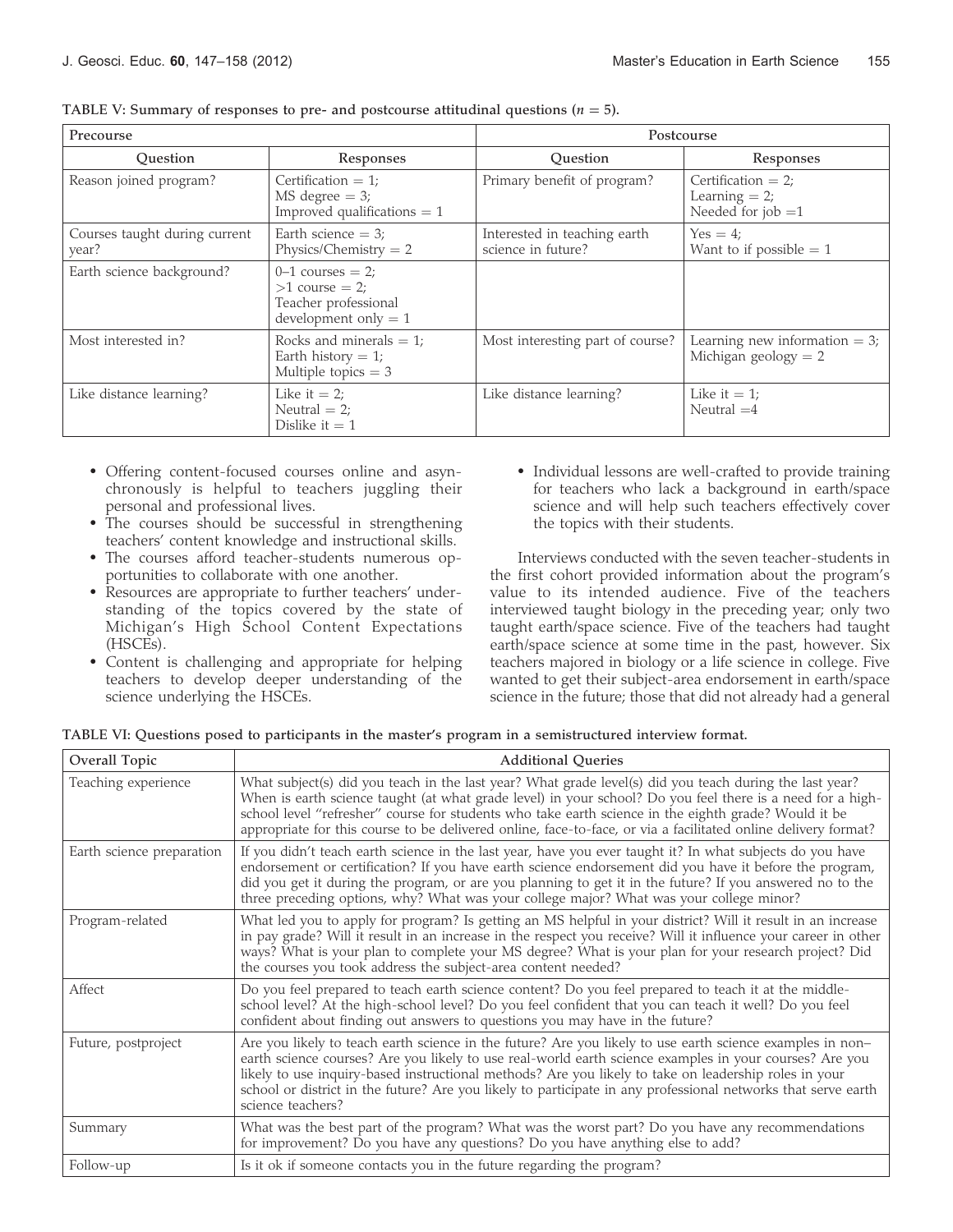| Precourse                              |                                                                                             | Postcourse                                         |                                                                   |
|----------------------------------------|---------------------------------------------------------------------------------------------|----------------------------------------------------|-------------------------------------------------------------------|
| Ouestion                               | Responses                                                                                   | Ouestion                                           | Responses                                                         |
| Reason joined program?                 | Certification $= 1$ ;<br>$MS$ degree $= 3$ ;<br>Improved qualifications $= 1$               | Primary benefit of program?                        | Certification $= 2$ ;<br>Learning $= 2$ ;<br>Needed for $job = 1$ |
| Courses taught during current<br>year? | Earth science $=$ 3;<br>Physics/Chemistry $= 2$                                             | Interested in teaching earth<br>science in future? | $Yes = 4;$<br>Want to if possible $= 1$                           |
| Earth science background?              | $0-1$ courses $= 2$ ;<br>$>1$ course = 2;<br>Teacher professional<br>development only $= 1$ |                                                    |                                                                   |
| Most interested in?                    | Rocks and minerals $= 1$ ;<br>Earth history $= 1$ ;<br>Multiple topics $=$ 3                | Most interesting part of course?                   | Learning new information $=$ 3;<br>Michigan geology $= 2$         |
| Like distance learning?                | Like it $= 2$ ;<br>Neutral $= 2$ ;<br>Dislike it $= 1$                                      | Like distance learning?                            | Like it $= 1$ ;<br>Neutral $=4$                                   |

TABLE V: Summary of responses to pre- and postcourse attitudinal questions ( $n = 5$ ).

- Offering content-focused courses online and asynchronously is helpful to teachers juggling their personal and professional lives.
- The courses should be successful in strengthening teachers' content knowledge and instructional skills.
- The courses afford teacher-students numerous opportunities to collaborate with one another.
- Resources are appropriate to further teachers' understanding of the topics covered by the state of Michigan's High School Content Expectations (HSCEs).
- Content is challenging and appropriate for helping teachers to develop deeper understanding of the science underlying the HSCEs.

- Individual lessons are well-crafted to provide training for teachers who lack a background in earth/space science and will help such teachers effectively cover the topics with their students.

Interviews conducted with the seven teacher-students in the first cohort provided information about the program's value to its intended audience. Five of the teachers interviewed taught biology in the preceding year; only two taught earth/space science. Five of the teachers had taught earth/space science at some time in the past, however. Six teachers majored in biology or a life science in college. Five wanted to get their subject-area endorsement in earth/space science in the future; those that did not already had a general

| TABLE VI: Questions posed to participants in the master's program in a semistructured interview format. |  |  |  |
|---------------------------------------------------------------------------------------------------------|--|--|--|
|                                                                                                         |  |  |  |

| Overall Topic             | <b>Additional Oueries</b>                                                                                                                                                                                                                                                                                                                                                                                                                                           |
|---------------------------|---------------------------------------------------------------------------------------------------------------------------------------------------------------------------------------------------------------------------------------------------------------------------------------------------------------------------------------------------------------------------------------------------------------------------------------------------------------------|
| Teaching experience       | What subject(s) did you teach in the last year? What grade level(s) did you teach during the last year?<br>When is earth science taught (at what grade level) in your school? Do you feel there is a need for a high-<br>school level "refresher" course for students who take earth science in the eighth grade? Would it be<br>appropriate for this course to be delivered online, face-to-face, or via a facilitated online delivery format?                     |
| Earth science preparation | If you didn't teach earth science in the last year, have you ever taught it? In what subjects do you have<br>endorsement or certification? If you have earth science endorsement did you have it before the program,<br>did you get it during the program, or are you planning to get it in the future? If you answered no to the<br>three preceding options, why? What was your college major? What was your college minor?                                        |
| Program-related           | What led you to apply for program? Is getting an MS helpful in your district? Will it result in an increase<br>in pay grade? Will it result in an increase in the respect you receive? Will it influence your career in other<br>ways? What is your plan to complete your MS degree? What is your plan for your research project? Did<br>the courses you took address the subject-area content needed?                                                              |
| Affect                    | Do you feel prepared to teach earth science content? Do you feel prepared to teach it at the middle-<br>school level? At the high-school level? Do you feel confident that you can teach it well? Do you feel<br>confident about finding out answers to questions you may have in the future?                                                                                                                                                                       |
| Future, postproject       | Are you likely to teach earth science in the future? Are you likely to use earth science examples in non-<br>earth science courses? Are you likely to use real-world earth science examples in your courses? Are you<br>likely to use inquiry-based instructional methods? Are you likely to take on leadership roles in your<br>school or district in the future? Are you likely to participate in any professional networks that serve earth<br>science teachers? |
| Summary                   | What was the best part of the program? What was the worst part? Do you have any recommendations<br>for improvement? Do you have any questions? Do you have anything else to add?                                                                                                                                                                                                                                                                                    |
| Follow-up                 | Is it ok if someone contacts you in the future regarding the program?                                                                                                                                                                                                                                                                                                                                                                                               |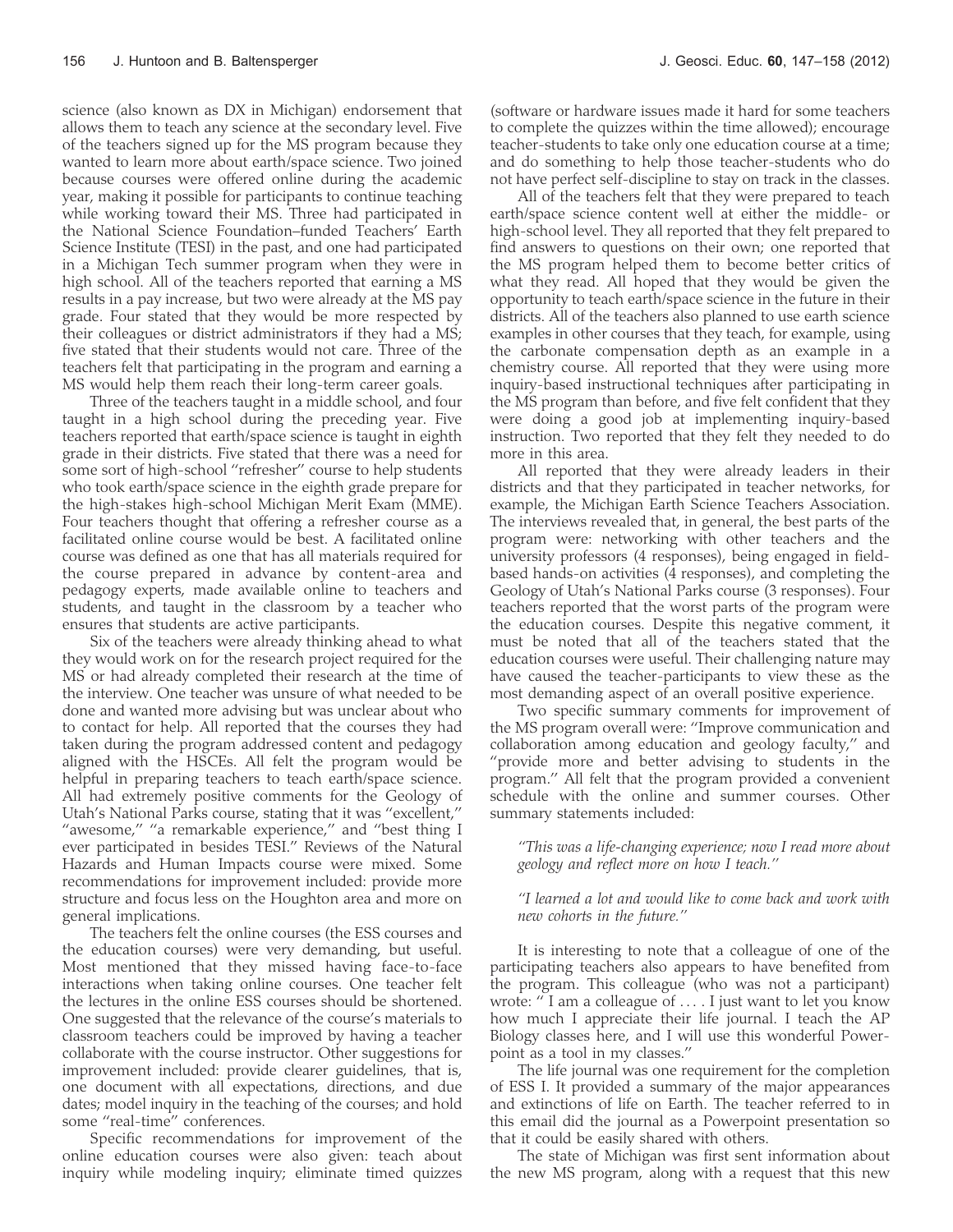science (also known as DX in Michigan) endorsement that allows them to teach any science at the secondary level. Five of the teachers signed up for the MS program because they wanted to learn more about earth/space science. Two joined because courses were offered online during the academic year, making it possible for participants to continue teaching while working toward their MS. Three had participated in the National Science Foundation–funded Teachers' Earth Science Institute (TESI) in the past, and one had participated in a Michigan Tech summer program when they were in high school. All of the teachers reported that earning a MS results in a pay increase, but two were already at the MS pay grade. Four stated that they would be more respected by their colleagues or district administrators if they had a MS; five stated that their students would not care. Three of the teachers felt that participating in the program and earning a MS would help them reach their long-term career goals.

Three of the teachers taught in a middle school, and four taught in a high school during the preceding year. Five teachers reported that earth/space science is taught in eighth grade in their districts. Five stated that there was a need for some sort of high-school ''refresher'' course to help students who took earth/space science in the eighth grade prepare for the high-stakes high-school Michigan Merit Exam (MME). Four teachers thought that offering a refresher course as a facilitated online course would be best. A facilitated online course was defined as one that has all materials required for the course prepared in advance by content-area and pedagogy experts, made available online to teachers and students, and taught in the classroom by a teacher who ensures that students are active participants.

Six of the teachers were already thinking ahead to what they would work on for the research project required for the MS or had already completed their research at the time of the interview. One teacher was unsure of what needed to be done and wanted more advising but was unclear about who to contact for help. All reported that the courses they had taken during the program addressed content and pedagogy aligned with the HSCEs. All felt the program would be helpful in preparing teachers to teach earth/space science. All had extremely positive comments for the Geology of Utah's National Parks course, stating that it was ''excellent,'' "awesome," "a remarkable experience," and "best thing I ever participated in besides TESI.'' Reviews of the Natural Hazards and Human Impacts course were mixed. Some recommendations for improvement included: provide more structure and focus less on the Houghton area and more on general implications.

The teachers felt the online courses (the ESS courses and the education courses) were very demanding, but useful. Most mentioned that they missed having face-to-face interactions when taking online courses. One teacher felt the lectures in the online ESS courses should be shortened. One suggested that the relevance of the course's materials to classroom teachers could be improved by having a teacher collaborate with the course instructor. Other suggestions for improvement included: provide clearer guidelines, that is, one document with all expectations, directions, and due dates; model inquiry in the teaching of the courses; and hold some "real-time" conferences.

Specific recommendations for improvement of the online education courses were also given: teach about inquiry while modeling inquiry; eliminate timed quizzes

All of the teachers felt that they were prepared to teach earth/space science content well at either the middle- or high-school level. They all reported that they felt prepared to find answers to questions on their own; one reported that the MS program helped them to become better critics of what they read. All hoped that they would be given the opportunity to teach earth/space science in the future in their districts. All of the teachers also planned to use earth science examples in other courses that they teach, for example, using the carbonate compensation depth as an example in a chemistry course. All reported that they were using more inquiry-based instructional techniques after participating in the MS program than before, and five felt confident that they were doing a good job at implementing inquiry-based instruction. Two reported that they felt they needed to do more in this area.

All reported that they were already leaders in their districts and that they participated in teacher networks, for example, the Michigan Earth Science Teachers Association. The interviews revealed that, in general, the best parts of the program were: networking with other teachers and the university professors (4 responses), being engaged in fieldbased hands-on activities (4 responses), and completing the Geology of Utah's National Parks course (3 responses). Four teachers reported that the worst parts of the program were the education courses. Despite this negative comment, it must be noted that all of the teachers stated that the education courses were useful. Their challenging nature may have caused the teacher-participants to view these as the most demanding aspect of an overall positive experience.

Two specific summary comments for improvement of the MS program overall were: ''Improve communication and collaboration among education and geology faculty,'' and "provide more and better advising to students in the program.'' All felt that the program provided a convenient schedule with the online and summer courses. Other summary statements included:

''This was a life-changing experience; now I read more about geology and reflect more on how I teach.''

#### ''I learned a lot and would like to come back and work with new cohorts in the future.''

It is interesting to note that a colleague of one of the participating teachers also appears to have benefited from the program. This colleague (who was not a participant) wrote: '' I am a colleague of . . . . I just want to let you know how much I appreciate their life journal. I teach the AP Biology classes here, and I will use this wonderful Powerpoint as a tool in my classes.''

The life journal was one requirement for the completion of ESS I. It provided a summary of the major appearances and extinctions of life on Earth. The teacher referred to in this email did the journal as a Powerpoint presentation so that it could be easily shared with others.

The state of Michigan was first sent information about the new MS program, along with a request that this new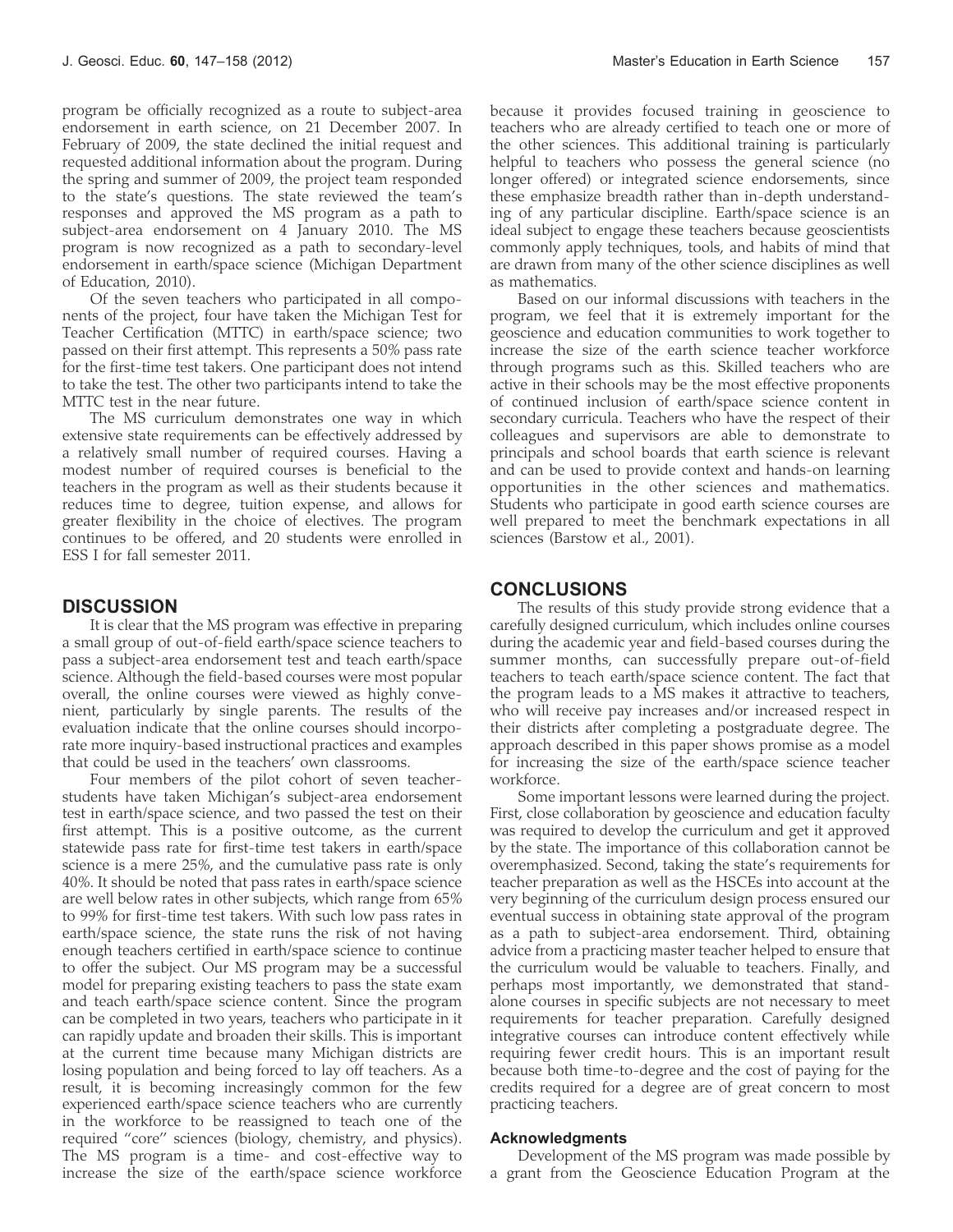program be officially recognized as a route to subject-area endorsement in earth science, on 21 December 2007. In February of 2009, the state declined the initial request and requested additional information about the program. During the spring and summer of 2009, the project team responded to the state's questions. The state reviewed the team's responses and approved the MS program as a path to subject-area endorsement on 4 January 2010. The MS program is now recognized as a path to secondary-level endorsement in earth/space science (Michigan Department of Education, 2010).

Of the seven teachers who participated in all components of the project, four have taken the Michigan Test for Teacher Certification (MTTC) in earth/space science; two passed on their first attempt. This represents a 50% pass rate for the first-time test takers. One participant does not intend to take the test. The other two participants intend to take the MTTC test in the near future.

The MS curriculum demonstrates one way in which extensive state requirements can be effectively addressed by a relatively small number of required courses. Having a modest number of required courses is beneficial to the teachers in the program as well as their students because it reduces time to degree, tuition expense, and allows for greater flexibility in the choice of electives. The program continues to be offered, and 20 students were enrolled in ESS I for fall semester 2011.

### **DISCUSSION**

It is clear that the MS program was effective in preparing a small group of out-of-field earth/space science teachers to pass a subject-area endorsement test and teach earth/space science. Although the field-based courses were most popular overall, the online courses were viewed as highly convenient, particularly by single parents. The results of the evaluation indicate that the online courses should incorporate more inquiry-based instructional practices and examples that could be used in the teachers' own classrooms.

Four members of the pilot cohort of seven teacherstudents have taken Michigan's subject-area endorsement test in earth/space science, and two passed the test on their first attempt. This is a positive outcome, as the current statewide pass rate for first-time test takers in earth/space science is a mere 25%, and the cumulative pass rate is only 40%. It should be noted that pass rates in earth/space science are well below rates in other subjects, which range from 65% to 99% for first-time test takers. With such low pass rates in earth/space science, the state runs the risk of not having enough teachers certified in earth/space science to continue to offer the subject. Our MS program may be a successful model for preparing existing teachers to pass the state exam and teach earth/space science content. Since the program can be completed in two years, teachers who participate in it can rapidly update and broaden their skills. This is important at the current time because many Michigan districts are losing population and being forced to lay off teachers. As a result, it is becoming increasingly common for the few experienced earth/space science teachers who are currently in the workforce to be reassigned to teach one of the required ''core'' sciences (biology, chemistry, and physics). The MS program is a time- and cost-effective way to increase the size of the earth/space science workforce

because it provides focused training in geoscience to teachers who are already certified to teach one or more of the other sciences. This additional training is particularly helpful to teachers who possess the general science (no longer offered) or integrated science endorsements, since these emphasize breadth rather than in-depth understanding of any particular discipline. Earth/space science is an ideal subject to engage these teachers because geoscientists commonly apply techniques, tools, and habits of mind that are drawn from many of the other science disciplines as well as mathematics.

Based on our informal discussions with teachers in the program, we feel that it is extremely important for the geoscience and education communities to work together to increase the size of the earth science teacher workforce through programs such as this. Skilled teachers who are active in their schools may be the most effective proponents of continued inclusion of earth/space science content in secondary curricula. Teachers who have the respect of their colleagues and supervisors are able to demonstrate to principals and school boards that earth science is relevant and can be used to provide context and hands-on learning opportunities in the other sciences and mathematics. Students who participate in good earth science courses are well prepared to meet the benchmark expectations in all sciences (Barstow et al., 2001).

#### **CONCLUSIONS**

The results of this study provide strong evidence that a carefully designed curriculum, which includes online courses during the academic year and field-based courses during the summer months, can successfully prepare out-of-field teachers to teach earth/space science content. The fact that the program leads to a MS makes it attractive to teachers, who will receive pay increases and/or increased respect in their districts after completing a postgraduate degree. The approach described in this paper shows promise as a model for increasing the size of the earth/space science teacher workforce.

Some important lessons were learned during the project. First, close collaboration by geoscience and education faculty was required to develop the curriculum and get it approved by the state. The importance of this collaboration cannot be overemphasized. Second, taking the state's requirements for teacher preparation as well as the HSCEs into account at the very beginning of the curriculum design process ensured our eventual success in obtaining state approval of the program as a path to subject-area endorsement. Third, obtaining advice from a practicing master teacher helped to ensure that the curriculum would be valuable to teachers. Finally, and perhaps most importantly, we demonstrated that standalone courses in specific subjects are not necessary to meet requirements for teacher preparation. Carefully designed integrative courses can introduce content effectively while requiring fewer credit hours. This is an important result because both time-to-degree and the cost of paying for the credits required for a degree are of great concern to most practicing teachers.

#### Acknowledgments

Development of the MS program was made possible by a grant from the Geoscience Education Program at the